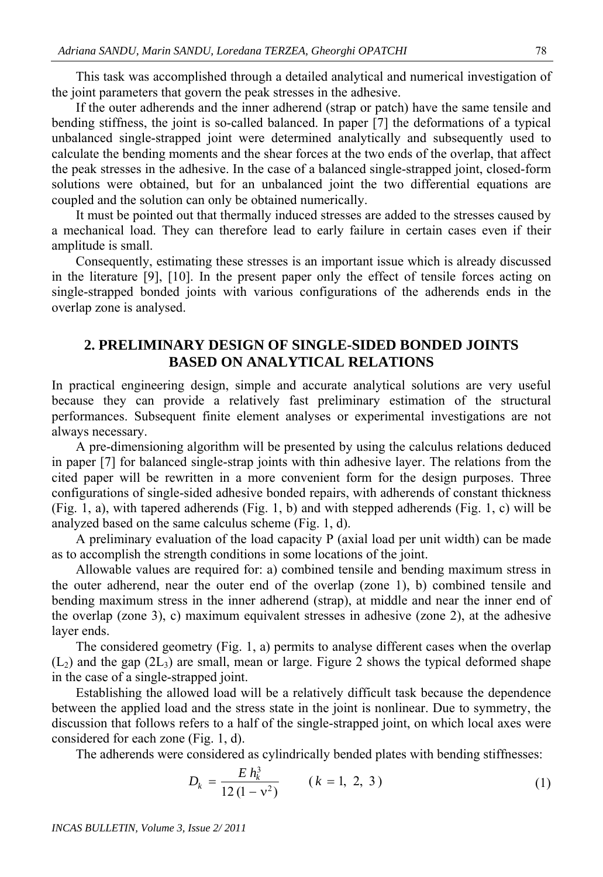This task was accomplished through a detailed analytical and numerical investigation of the joint parameters that govern the peak stresses in the adhesive.

If the outer adherends and the inner adherend (strap or patch) have the same tensile and bending stiffness, the joint is so-called balanced. In paper [7] the deformations of a typical unbalanced single-strapped joint were determined analytically and subsequently used to calculate the bending moments and the shear forces at the two ends of the overlap, that affect the peak stresses in the adhesive. In the case of a balanced single-strapped joint, closed-form solutions were obtained, but for an unbalanced joint the two differential equations are coupled and the solution can only be obtained numerically.

It must be pointed out that thermally induced stresses are added to the stresses caused by a mechanical load. They can therefore lead to early failure in certain cases even if their amplitude is small.

Consequently, estimating these stresses is an important issue which is already discussed in the literature [9], [10]. In the present paper only the effect of tensile forces acting on single-strapped bonded joints with various configurations of the adherends ends in the overlap zone is analysed.

## **2. PRELIMINARY DESIGN OF SINGLE-SIDED BONDED JOINTS BASED ON ANALYTICAL RELATIONS**

In practical engineering design, simple and accurate analytical solutions are very useful because they can provide a relatively fast preliminary estimation of the structural performances. Subsequent finite element analyses or experimental investigations are not always necessary.

A pre-dimensioning algorithm will be presented by using the calculus relations deduced in paper [7] for balanced single-strap joints with thin adhesive layer. The relations from the cited paper will be rewritten in a more convenient form for the design purposes. Three configurations of single-sided adhesive bonded repairs, with adherends of constant thickness (Fig. 1, a), with tapered adherends (Fig. 1, b) and with stepped adherends (Fig. 1, c) will be analyzed based on the same calculus scheme (Fig. 1, d).

A preliminary evaluation of the load capacity P (axial load per unit width) can be made as to accomplish the strength conditions in some locations of the joint.

Allowable values are required for: a) combined tensile and bending maximum stress in the outer adherend, near the outer end of the overlap (zone 1), b) combined tensile and bending maximum stress in the inner adherend (strap), at middle and near the inner end of the overlap (zone 3), c) maximum equivalent stresses in adhesive (zone 2), at the adhesive layer ends.

The considered geometry (Fig. 1, a) permits to analyse different cases when the overlap  $(L<sub>2</sub>)$  and the gap  $(2L<sub>3</sub>)$  are small, mean or large. Figure 2 shows the typical deformed shape in the case of a single-strapped joint.

Establishing the allowed load will be a relatively difficult task because the dependence between the applied load and the stress state in the joint is nonlinear. Due to symmetry, the discussion that follows refers to a half of the single-strapped joint, on which local axes were considered for each zone (Fig. 1, d).

The adherends were considered as cylindrically bended plates with bending stiffnesses:

$$
D_k = \frac{E h_k^3}{12 (1 - v^2)} \qquad (k = 1, 2, 3)
$$
 (1)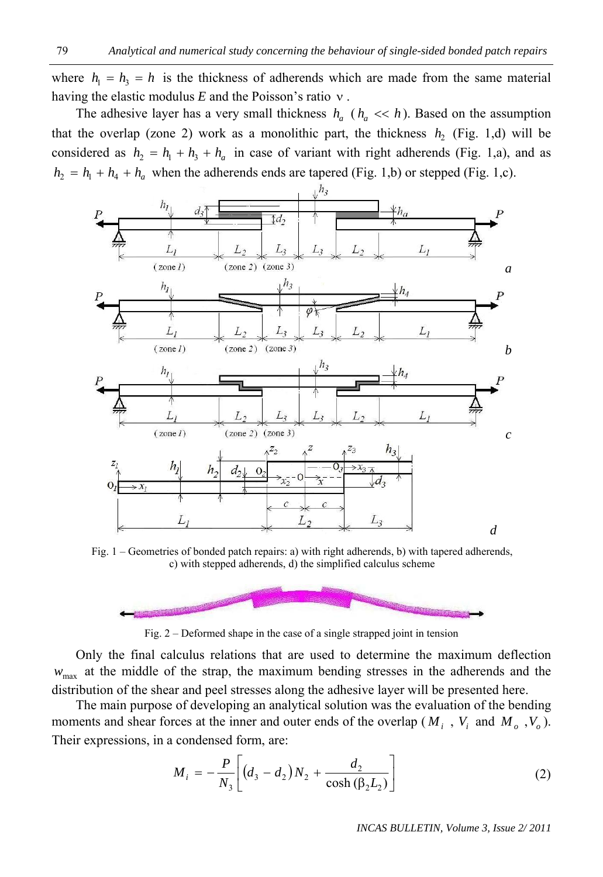where  $h_1 = h_3 = h$  is the thickness of adherends which are made from the same material having the elastic modulus  $E$  and the Poisson's ratio  $v$ .

The adhesive layer has a very small thickness  $h_a$  ( $h_a \ll h$ ). Based on the assumption that the overlap (zone 2) work as a monolithic part, the thickness  $h_2$  (Fig. 1,d) will be considered as  $h_2 = h_1 + h_3 + h_a$  in case of variant with right adherends (Fig. 1,a), and as  $h_2 = h_1 + h_4 + h_a$  when the adherends ends are tapered (Fig. 1,b) or stepped (Fig. 1,c).



Fig. 1 – Geometries of bonded patch repairs: a) with right adherends, b) with tapered adherends, c) with stepped adherends, d) the simplified calculus scheme



Fig. 2 – Deformed shape in the case of a single strapped joint in tension

 Only the final calculus relations that are used to determine the maximum deflection  $w_{\text{max}}$  at the middle of the strap, the maximum bending stresses in the adherends and the distribution of the shear and peel stresses along the adhesive layer will be presented here.

The main purpose of developing an analytical solution was the evaluation of the bending moments and shear forces at the inner and outer ends of the overlap ( $M_i$ ,  $V_i$  and  $M_o$ ,  $V_o$ ). Their expressions, in a condensed form, are:

$$
M_{i} = -\frac{P}{N_{3}} \left[ \left( d_{3} - d_{2} \right) N_{2} + \frac{d_{2}}{\cosh \left( \beta_{2} L_{2} \right)} \right]
$$
 (2)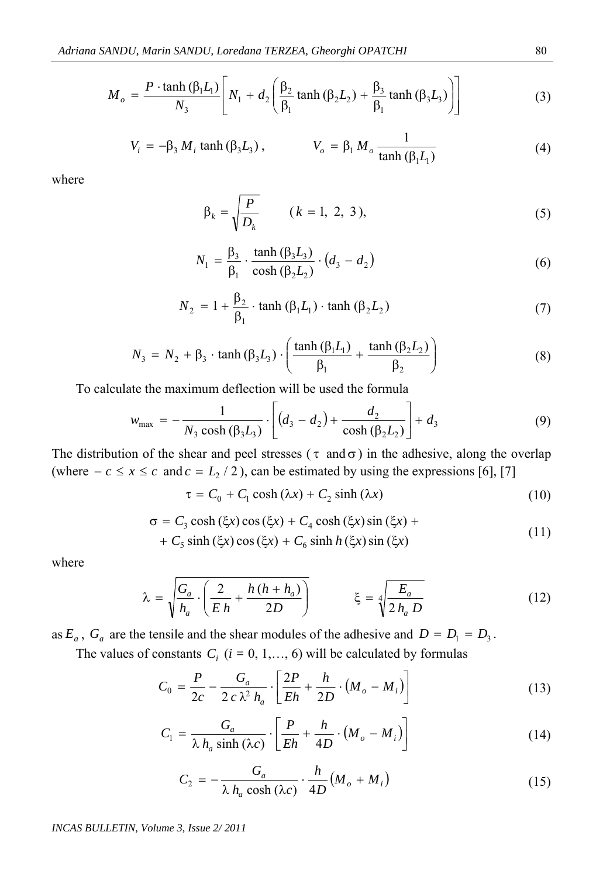$$
M_o = \frac{P \cdot \tanh\left(\beta_1 L_1\right)}{N_3} \left[ N_1 + d_2 \left( \frac{\beta_2}{\beta_1} \tanh\left(\beta_2 L_2\right) + \frac{\beta_3}{\beta_1} \tanh\left(\beta_3 L_3\right) \right) \right]
$$
(3)

$$
V_i = -\beta_3 M_i \tanh\left(\beta_3 L_3\right), \qquad V_o = \beta_1 M_o \frac{1}{\tanh\left(\beta_1 L_1\right)}\tag{4}
$$

where

$$
\beta_k = \sqrt{\frac{P}{D_k}} \qquad (k = 1, 2, 3), \tag{5}
$$

$$
N_1 = \frac{\beta_3}{\beta_1} \cdot \frac{\tanh{(\beta_3 L_3)}}{\cosh{(\beta_2 L_2)}} \cdot (d_3 - d_2)
$$
 (6)

$$
N_2 = 1 + \frac{\beta_2}{\beta_1} \cdot \tanh(\beta_1 L_1) \cdot \tanh(\beta_2 L_2)
$$
 (7)

$$
N_3 = N_2 + \beta_3 \cdot \tanh\left(\beta_3 L_3\right) \cdot \left(\frac{\tanh\left(\beta_1 L_1\right)}{\beta_1} + \frac{\tanh\left(\beta_2 L_2\right)}{\beta_2}\right) \tag{8}
$$

To calculate the maximum deflection will be used the formula

$$
w_{\text{max}} = -\frac{1}{N_3 \cosh(\beta_3 L_3)} \cdot \left[ (d_3 - d_2) + \frac{d_2}{\cosh(\beta_2 L_2)} \right] + d_3 \tag{9}
$$

The distribution of the shear and peel stresses ( $\tau$  and  $\sigma$ ) in the adhesive, along the overlap (where  $-c \le x \le c$  and  $c = L_2 / 2$ ), can be estimated by using the expressions [6], [7]

 $\tau = C_0 + C_1 \cosh(\lambda x) + C_2 \sinh(\lambda x)$  (10)

$$
\sigma = C_3 \cosh(\xi x) \cos(\xi x) + C_4 \cosh(\xi x) \sin(\xi x) + C_5 \sinh(\xi x) \cos(\xi x) + C_6 \sinh h(\xi x) \sin(\xi x)
$$
\n(11)

where

$$
\lambda = \sqrt{\frac{G_a}{h_a} \cdot \left(\frac{2}{Eh} + \frac{h(h+h_a)}{2D}\right)} \qquad \xi = \sqrt[4]{\frac{E_a}{2h_a D}}
$$
(12)

as  $E_a$ ,  $G_a$  are the tensile and the shear modules of the adhesive and  $D = D_1 = D_3$ .

The values of constants  $C_i$  ( $i = 0, 1, \ldots, 6$ ) will be calculated by formulas

$$
C_0 = \frac{P}{2c} - \frac{G_a}{2 c \lambda^2 h_a} \cdot \left[ \frac{2P}{Eh} + \frac{h}{2D} \cdot (M_o - M_i) \right]
$$
 (13)

$$
C_1 = \frac{G_a}{\lambda h_a \sinh(\lambda c)} \cdot \left[ \frac{P}{Eh} + \frac{h}{4D} \cdot (M_o - M_i) \right]
$$
 (14)

$$
C_2 = -\frac{G_a}{\lambda h_a \cosh(\lambda c)} \cdot \frac{h}{4D} (M_o + M_i)
$$
 (15)

*INCAS BULLETIN, Volume 3, Issue 2/ 2011*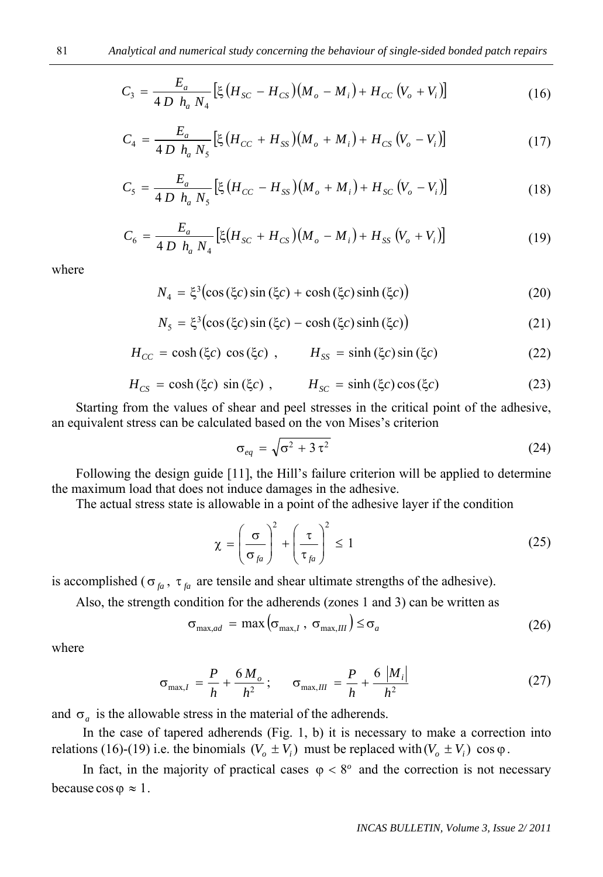$$
C_3 = \frac{E_a}{4 D \ h_a N_4} \left[ \xi \left( H_{SC} - H_{CS} \right) \left( M_o - M_i \right) + H_{CC} \left( V_o + V_i \right) \right]
$$
(16)

$$
C_4 = \frac{E_a}{4 D \ h_a N_5} \left[ \xi \left( H_{CC} + H_{SS} \right) \left( M_o + M_i \right) + H_{CS} \left( V_o - V_i \right) \right]
$$
(17)

$$
C_{5} = \frac{E_{a}}{4 D \ h_{a} N_{5}} \left[ \xi \left( H_{CC} - H_{SS} \right) \left( M_{o} + M_{i} \right) + H_{SC} \left( V_{o} - V_{i} \right) \right]
$$
(18)

$$
C_6 = \frac{E_a}{4 D h_a N_4} \left[ \xi (H_{SC} + H_{CS}) (M_o - M_i) + H_{SS} (V_o + V_i) \right]
$$
(19)

where

$$
N_4 = \xi^3 \bigl(\cos\left(\xi c\right) \sin\left(\xi c\right) + \cosh\left(\xi c\right) \sinh\left(\xi c\right)\bigr) \tag{20}
$$

$$
N_5 = \xi^3 \bigl(\cos(\xi c)\sin(\xi c) - \cosh(\xi c)\sinh(\xi c)\bigr) \tag{21}
$$

$$
H_{CC} = \cosh(\xi c) \cos(\xi c) , \qquad H_{SS} = \sinh(\xi c) \sin(\xi c) \tag{22}
$$

$$
H_{CS} = \cosh(\xi c) \sin(\xi c) , \qquad H_{SC} = \sinh(\xi c) \cos(\xi c) \tag{23}
$$

Starting from the values of shear and peel stresses in the critical point of the adhesive, an equivalent stress can be calculated based on the von Mises's criterion

$$
\sigma_{eq} = \sqrt{\sigma^2 + 3\,\tau^2} \tag{24}
$$

Following the design guide [11], the Hill's failure criterion will be applied to determine the maximum load that does not induce damages in the adhesive.

The actual stress state is allowable in a point of the adhesive layer if the condition

$$
\chi = \left(\frac{\sigma}{\sigma_{fa}}\right)^2 + \left(\frac{\tau}{\tau_{fa}}\right)^2 \le 1
$$
\n(25)

is accomplished ( $\sigma_{fa}$ ,  $\tau_{fa}$  are tensile and shear ultimate strengths of the adhesive).

Also, the strength condition for the adherends (zones 1 and 3) can be written as

$$
\sigma_{\max, ad} = \max \left( \sigma_{\max, I} , \sigma_{\max, III} \right) \le \sigma_a \tag{26}
$$

where

$$
\sigma_{\max,I} = \frac{P}{h} + \frac{6 M_o}{h^2}; \qquad \sigma_{\max,III} = \frac{P}{h} + \frac{6 |M_i|}{h^2}
$$
 (27)

and  $\sigma_a$  is the allowable stress in the material of the adherends.

In the case of tapered adherends (Fig. 1, b) it is necessary to make a correction into relations (16)-(19) i.e. the binomials  $(V_o \pm V_i)$  must be replaced with  $(V_o \pm V_i)$  cos  $\varphi$ .

In fact, in the majority of practical cases  $\varphi < 8^\circ$  and the correction is not necessary because  $\cos \varphi \approx 1$ .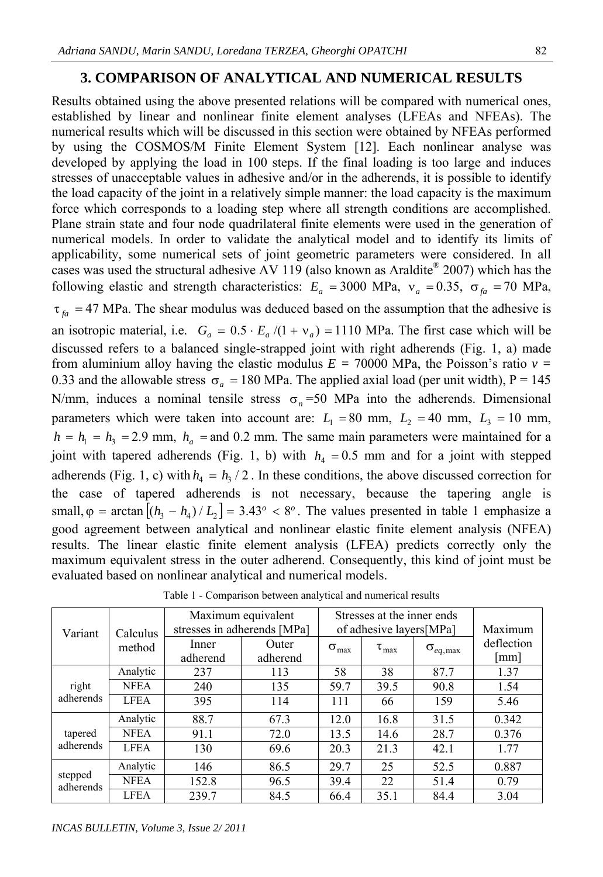## **3. COMPARISON OF ANALYTICAL AND NUMERICAL RESULTS**

Results obtained using the above presented relations will be compared with numerical ones, established by linear and nonlinear finite element analyses (LFEAs and NFEAs). The numerical results which will be discussed in this section were obtained by NFEAs performed by using the COSMOS/M Finite Element System [12]. Each nonlinear analyse was developed by applying the load in 100 steps. If the final loading is too large and induces stresses of unacceptable values in adhesive and/or in the adherends, it is possible to identify the load capacity of the joint in a relatively simple manner: the load capacity is the maximum force which corresponds to a loading step where all strength conditions are accomplished. Plane strain state and four node quadrilateral finite elements were used in the generation of numerical models. In order to validate the analytical model and to identify its limits of applicability, some numerical sets of joint geometric parameters were considered. In all cases was used the structural adhesive AV 119 (also known as Araldite® 2007) which has the following elastic and strength characteristics:  $E_a = 3000 \text{ MPa}$ ,  $v_a = 0.35$ ,  $\sigma_{fa} = 70 \text{ MPa}$ ,

 $\tau_{fa}$  = 47 MPa. The shear modulus was deduced based on the assumption that the adhesive is an isotropic material, i.e.  $G_a = 0.5 \cdot E_a / (1 + v_a) = 1110 \text{ MPa}$ . The first case which will be discussed refers to a balanced single-strapped joint with right adherends (Fig. 1, a) made from aluminium alloy having the elastic modulus  $E = 70000$  MPa, the Poisson's ratio  $v =$ 0.33 and the allowable stress  $\sigma_a = 180$  MPa. The applied axial load (per unit width), P = 145 *N*/mm, induces a nominal tensile stress  $\sigma_n$ =50 MPa into the adherends. Dimensional parameters which were taken into account are:  $L_1 = 80$  mm,  $L_2 = 40$  mm,  $L_3 = 10$  mm,  $h = h_1 = h_3 = 2.9$  mm,  $h_a$  = and 0.2 mm. The same main parameters were maintained for a joint with tapered adherends (Fig. 1, b) with  $h_4 = 0.5$  mm and for a joint with stepped adherends (Fig. 1, c) with  $h_4 = h_3 / 2$ . In these conditions, the above discussed correction for the case of tapered adherends is not necessary, because the tapering angle is small,  $\varphi$  = arctan  $[(h_3 - h_4)/L_2] = 3.43^\circ < 8^\circ$ . The values presented in table 1 emphasize a good agreement between analytical and nonlinear elastic finite element analysis (NFEA) results. The linear elastic finite element analysis (LFEA) predicts correctly only the maximum equivalent stress in the outer adherend. Consequently, this kind of joint must be evaluated based on nonlinear analytical and numerical models.

| Variant              | Calculus<br>method | Maximum equivalent<br>stresses in adherends [MPa] |                   | Stresses at the inner ends<br>of adhesive layers[MPa] |                     |                             | Maximum                    |
|----------------------|--------------------|---------------------------------------------------|-------------------|-------------------------------------------------------|---------------------|-----------------------------|----------------------------|
|                      |                    | Inner<br>adherend                                 | Outer<br>adherend | $\sigma_{\text{max}}$                                 | $\tau_{\text{max}}$ | $\sigma_{_{eq,\text{max}}}$ | deflection<br>$\lceil$ mm] |
| right<br>adherends   | Analytic           | 237                                               | 113               | 58                                                    | 38                  | 87.7                        | 1.37                       |
|                      | <b>NFEA</b>        | 240                                               | 135               | 59.7                                                  | 39.5                | 90.8                        | 1.54                       |
|                      | <b>LFEA</b>        | 395                                               | 114               | 111                                                   | 66                  | 159                         | 5.46                       |
| tapered<br>adherends | Analytic           | 88.7                                              | 67.3              | 12.0                                                  | 16.8                | 31.5                        | 0.342                      |
|                      | <b>NFEA</b>        | 91.1                                              | 72.0              | 13.5                                                  | 14.6                | 28.7                        | 0.376                      |
|                      | <b>LFEA</b>        | 130                                               | 69.6              | 20.3                                                  | 21.3                | 42.1                        | 1.77                       |
| stepped<br>adherends | Analytic           | 146                                               | 86.5              | 29.7                                                  | 25                  | 52.5                        | 0.887                      |
|                      | <b>NFEA</b>        | 152.8                                             | 96.5              | 39.4                                                  | 22                  | 51.4                        | 0.79                       |
|                      | <b>LFEA</b>        | 239.7                                             | 84.5              | 66.4                                                  | 35.1                | 84.4                        | 3.04                       |

Table 1 - Comparison between analytical and numerical results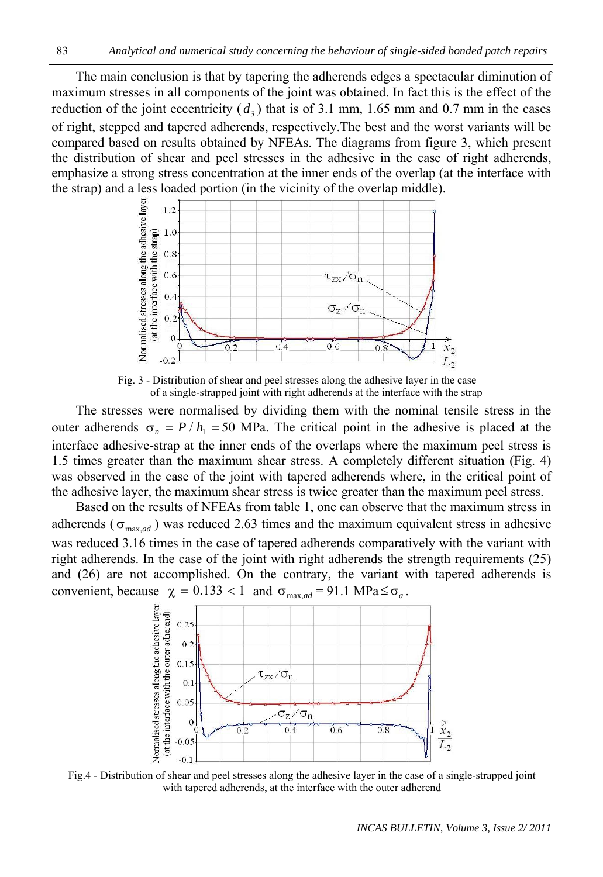The main conclusion is that by tapering the adherends edges a spectacular diminution of maximum stresses in all components of the joint was obtained. In fact this is the effect of the reduction of the joint eccentricity  $(d_3)$  that is of 3.1 mm, 1.65 mm and 0.7 mm in the cases of right, stepped and tapered adherends, respectively.The best and the worst variants will be compared based on results obtained by NFEAs. The diagrams from figure 3, which present the distribution of shear and peel stresses in the adhesive in the case of right adherends, emphasize a strong stress concentration at the inner ends of the overlap (at the interface with the strap) and a less loaded portion (in the vicinity of the overlap middle).



Fig. 3 - Distribution of shear and peel stresses along the adhesive layer in the case of a single-strapped joint with right adherends at the interface with the strap

The stresses were normalised by dividing them with the nominal tensile stress in the outer adherends  $\sigma_n = P/h_1 = 50$  MPa. The critical point in the adhesive is placed at the interface adhesive-strap at the inner ends of the overlaps where the maximum peel stress is 1.5 times greater than the maximum shear stress. A completely different situation (Fig. 4) was observed in the case of the joint with tapered adherends where, in the critical point of the adhesive layer, the maximum shear stress is twice greater than the maximum peel stress.

Based on the results of NFEAs from table 1, one can observe that the maximum stress in adherends ( $\sigma_{\text{max},ad}$ ) was reduced 2.63 times and the maximum equivalent stress in adhesive was reduced 3.16 times in the case of tapered adherends comparatively with the variant with right adherends. In the case of the joint with right adherends the strength requirements (25) and (26) are not accomplished. On the contrary, the variant with tapered adherends is convenient, because  $\chi = 0.133 < 1$  and  $\sigma_{\text{max},ad} = 91.1 \text{ MPa} \le \sigma_a$ .



Fig.4 - Distribution of shear and peel stresses along the adhesive layer in the case of a single-strapped joint with tapered adherends, at the interface with the outer adherend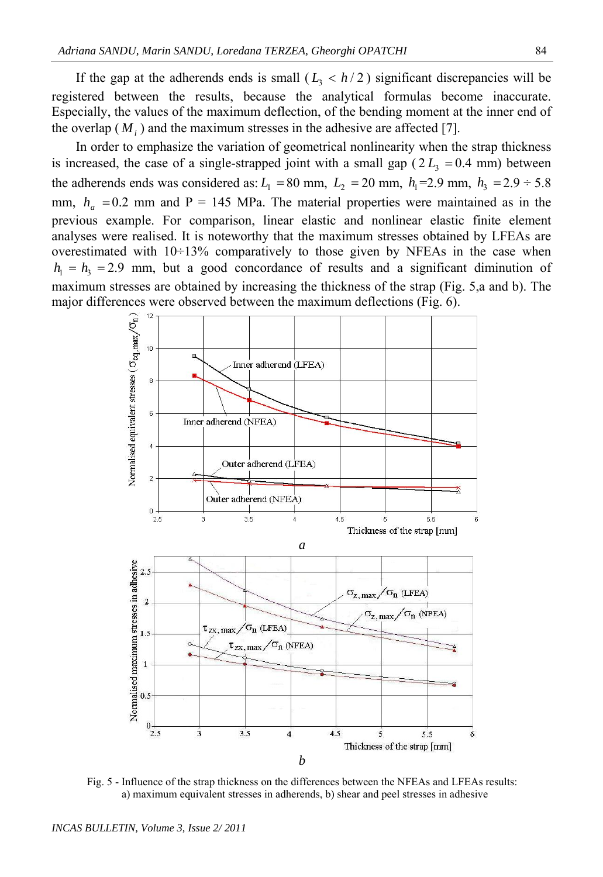If the gap at the adherends ends is small  $(L_3 < h/2)$  significant discrepancies will be registered between the results, because the analytical formulas become inaccurate. Especially, the values of the maximum deflection, of the bending moment at the inner end of the overlap  $(M_i)$  and the maximum stresses in the adhesive are affected [7].

In order to emphasize the variation of geometrical nonlinearity when the strap thickness is increased, the case of a single-strapped joint with a small gap  $(2 L<sub>3</sub> = 0.4$  mm) between the adherends ends was considered as:  $L_1 = 80$  mm,  $L_2 = 20$  mm,  $h_1 = 2.9$  mm,  $h_3 = 2.9 \div 5.8$ mm,  $h_a = 0.2$  mm and P = 145 MPa. The material properties were maintained as in the previous example. For comparison, linear elastic and nonlinear elastic finite element analyses were realised. It is noteworthy that the maximum stresses obtained by LFEAs are overestimated with 10÷13% comparatively to those given by NFEAs in the case when  $h_1 = h_3 = 2.9$  mm, but a good concordance of results and a significant diminution of maximum stresses are obtained by increasing the thickness of the strap (Fig. 5,a and b). The major differences were observed between the maximum deflections (Fig. 6).



Fig. 5 - Influence of the strap thickness on the differences between the NFEAs and LFEAs results: a) maximum equivalent stresses in adherends, b) shear and peel stresses in adhesive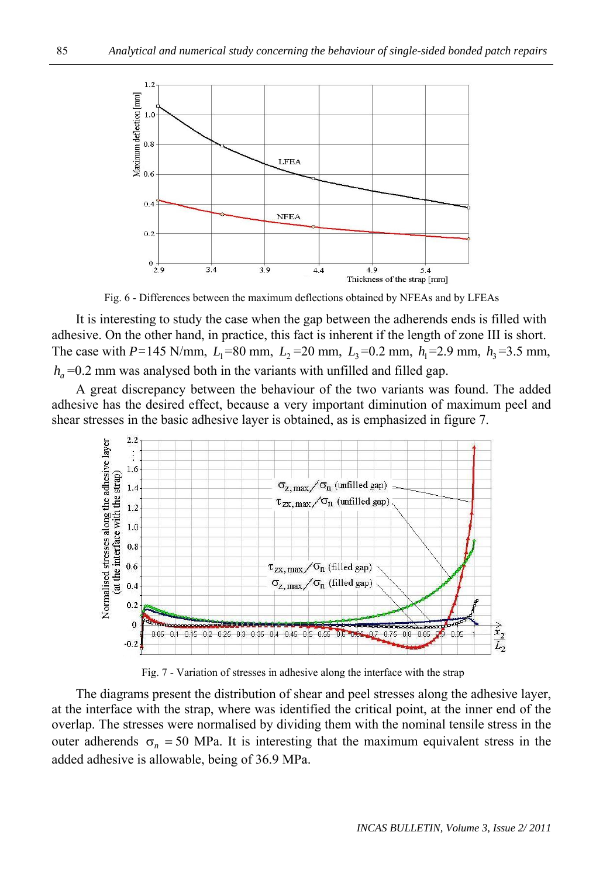

Fig. 6 - Differences between the maximum deflections obtained by NFEAs and by LFEAs

It is interesting to study the case when the gap between the adherends ends is filled with adhesive. On the other hand, in practice, this fact is inherent if the length of zone III is short. The case with *P*=145 N/mm,  $L_1$ =80 mm,  $L_2$ =20 mm,  $L_3$ =0.2 mm,  $h_1$ =2.9 mm,  $h_3$ =3.5 mm,  $h_a$  = 0.2 mm was analysed both in the variants with unfilled and filled gap.

A great discrepancy between the behaviour of the two variants was found. The added adhesive has the desired effect, because a very important diminution of maximum peel and shear stresses in the basic adhesive layer is obtained, as is emphasized in figure 7.



Fig. 7 - Variation of stresses in adhesive along the interface with the strap

The diagrams present the distribution of shear and peel stresses along the adhesive layer, at the interface with the strap, where was identified the critical point, at the inner end of the overlap. The stresses were normalised by dividing them with the nominal tensile stress in the outer adherends  $\sigma_n = 50$  MPa. It is interesting that the maximum equivalent stress in the added adhesive is allowable, being of 36.9 MPa.